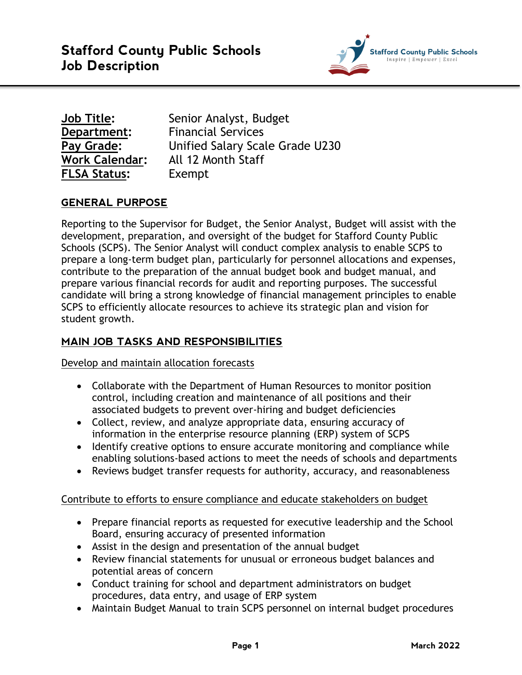

| Job Title:            |
|-----------------------|
| Department:           |
| <b>Pay Grade:</b>     |
| <b>Work Calendar:</b> |
| <b>FLSA Status:</b>   |

**Job Title:** Senior Analyst, Budget **Financial Services Pay Grade:** Unified Salary Scale Grade U230 **Work Calendar:** All 12 Month Staff Exempt

# **GENERAL PURPOSE**

Reporting to the Supervisor for Budget, the Senior Analyst, Budget will assist with the development, preparation, and oversight of the budget for Stafford County Public Schools (SCPS). The Senior Analyst will conduct complex analysis to enable SCPS to prepare a long-term budget plan, particularly for personnel allocations and expenses, contribute to the preparation of the annual budget book and budget manual, and prepare various financial records for audit and reporting purposes. The successful candidate will bring a strong knowledge of financial management principles to enable SCPS to efficiently allocate resources to achieve its strategic plan and vision for student growth.

## **MAIN JOB TASKS AND RESPONSIBILITIES**

Develop and maintain allocation forecasts

- Collaborate with the Department of Human Resources to monitor position control, including creation and maintenance of all positions and their associated budgets to prevent over-hiring and budget deficiencies
- Collect, review, and analyze appropriate data, ensuring accuracy of information in the enterprise resource planning (ERP) system of SCPS
- Identify creative options to ensure accurate monitoring and compliance while enabling solutions-based actions to meet the needs of schools and departments
- Reviews budget transfer requests for authority, accuracy, and reasonableness

### Contribute to efforts to ensure compliance and educate stakeholders on budget

- Prepare financial reports as requested for executive leadership and the School Board, ensuring accuracy of presented information
- Assist in the design and presentation of the annual budget
- Review financial statements for unusual or erroneous budget balances and potential areas of concern
- Conduct training for school and department administrators on budget procedures, data entry, and usage of ERP system
- Maintain Budget Manual to train SCPS personnel on internal budget procedures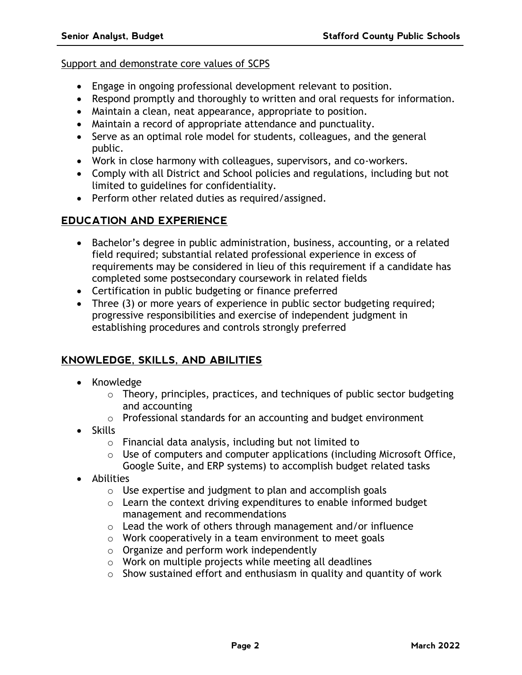#### Support and demonstrate core values of SCPS

- Engage in ongoing professional development relevant to position.
- Respond promptly and thoroughly to written and oral requests for information.
- Maintain a clean, neat appearance, appropriate to position.
- Maintain a record of appropriate attendance and punctuality.
- Serve as an optimal role model for students, colleagues, and the general public.
- Work in close harmony with colleagues, supervisors, and co-workers.
- Comply with all District and School policies and regulations, including but not limited to guidelines for confidentiality.
- Perform other related duties as required/assigned.

## **EDUCATION AND EXPERIENCE**

- Bachelor's degree in public administration, business, accounting, or a related field required; substantial related professional experience in excess of requirements may be considered in lieu of this requirement if a candidate has completed some postsecondary coursework in related fields
- Certification in public budgeting or finance preferred
- Three (3) or more years of experience in public sector budgeting required; progressive responsibilities and exercise of independent judgment in establishing procedures and controls strongly preferred

## **KNOWLEDGE, SKILLS, AND ABILITIES**

- Knowledge
	- o Theory, principles, practices, and techniques of public sector budgeting and accounting
	- o Professional standards for an accounting and budget environment
- Skills
	- o Financial data analysis, including but not limited to
	- o Use of computers and computer applications (including Microsoft Office, Google Suite, and ERP systems) to accomplish budget related tasks
- Abilities
	- o Use expertise and judgment to plan and accomplish goals
	- o Learn the context driving expenditures to enable informed budget management and recommendations
	- o Lead the work of others through management and/or influence
	- o Work cooperatively in a team environment to meet goals
	- o Organize and perform work independently
	- $\circ$  Work on multiple projects while meeting all deadlines
	- $\circ$  Show sustained effort and enthusiasm in quality and quantity of work